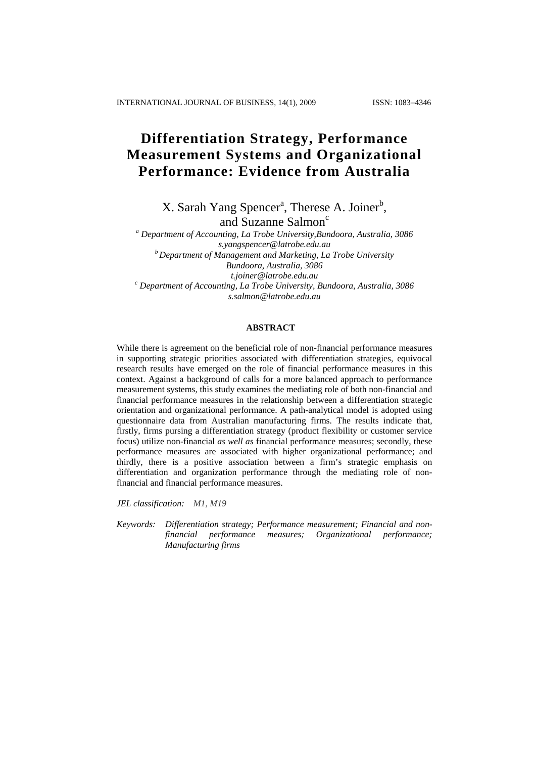# **Differentiation Strategy, Performance Measurement Systems and Organizational Performance: Evidence from Australia**

 $X$ . Sarah Yang Spencer<sup>a</sup>, Therese A. Joiner<sup>b</sup>, and Suzanne Salmon<sup>c</sup>

*a Department of Accounting, La Trobe University,Bundoora, Australia, 3086 [s.yangspencer@latrobe.edu.au](mailto:s.yangspencer@latrobe.edu.au) b Department of Management and Marketing, La Trobe University Bundoora, Australia, 3086 [t.joiner@latrobe.edu.au](mailto:t.joiner@latrobe.edu.au) <sup>c</sup> Department of Accounting, La Trobe University, Bundoora, Australia, 3086 s.salmon@latrobe.edu.au*

# **ABSTRACT**

While there is agreement on the beneficial role of non-financial performance measures in supporting strategic priorities associated with differentiation strategies, equivocal research results have emerged on the role of financial performance measures in this context. Against a background of calls for a more balanced approach to performance measurement systems, this study examines the mediating role of both non-financial and financial performance measures in the relationship between a differentiation strategic orientation and organizational performance. A path-analytical model is adopted using questionnaire data from Australian manufacturing firms. The results indicate that, firstly, firms pursing a differentiation strategy (product flexibility or customer service focus) utilize non-financial *as well as* financial performance measures; secondly, these performance measures are associated with higher organizational performance; and thirdly, there is a positive association between a firm's strategic emphasis on differentiation and organization performance through the mediating role of nonfinancial and financial performance measures.

*JEL classification: M1, M19* 

*Keywords: Differentiation strategy; Performance measurement; Financial and nonfinancial performance measures; Organizational performance; Manufacturing firms*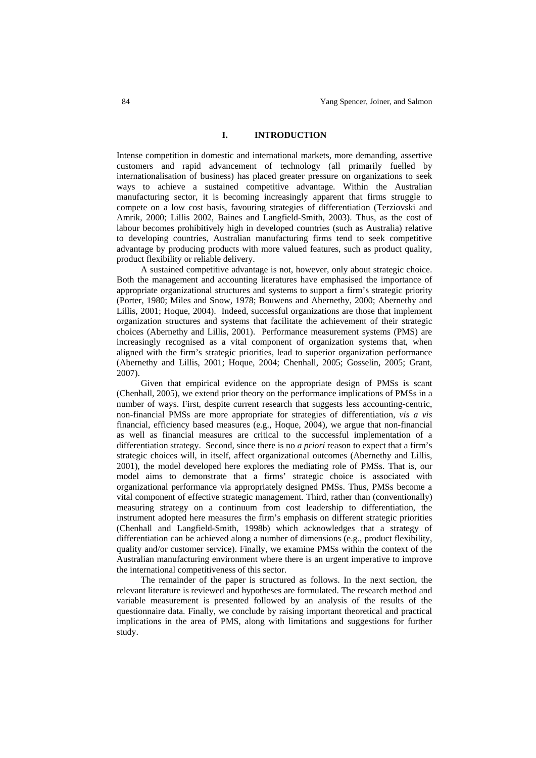#### **I. INTRODUCTION**

Intense competition in domestic and international markets, more demanding, assertive customers and rapid advancement of technology (all primarily fuelled by internationalisation of business) has placed greater pressure on organizations to seek ways to achieve a sustained competitive advantage. Within the Australian manufacturing sector, it is becoming increasingly apparent that firms struggle to compete on a low cost basis, favouring strategies of differentiation (Terziovski and Amrik, 2000; Lillis 2002, Baines and Langfield-Smith, 2003). Thus, as the cost of labour becomes prohibitively high in developed countries (such as Australia) relative to developing countries, Australian manufacturing firms tend to seek competitive advantage by producing products with more valued features, such as product quality, product flexibility or reliable delivery.

A sustained competitive advantage is not, however, only about strategic choice. Both the management and accounting literatures have emphasised the importance of appropriate organizational structures and systems to support a firm's strategic priority (Porter, 1980; Miles and Snow, 1978; Bouwens and Abernethy, 2000; Abernethy and Lillis, 2001; Hoque, 2004). Indeed, successful organizations are those that implement organization structures and systems that facilitate the achievement of their strategic choices (Abernethy and Lillis, 2001). Performance measurement systems (PMS) are increasingly recognised as a vital component of organization systems that, when aligned with the firm's strategic priorities, lead to superior organization performance (Abernethy and Lillis, 2001; Hoque, 2004; Chenhall, 2005; Gosselin, 2005; Grant, 2007).

Given that empirical evidence on the appropriate design of PMSs is scant (Chenhall, 2005), we extend prior theory on the performance implications of PMSs in a number of ways. First, despite current research that suggests less accounting-centric, non-financial PMSs are more appropriate for strategies of differentiation, *vis a vis*  financial, efficiency based measures (e.g., Hoque, 2004), we argue that non-financial as well as financial measures are critical to the successful implementation of a differentiation strategy. Second, since there is no *a priori* reason to expect that a firm's strategic choices will, in itself, affect organizational outcomes (Abernethy and Lillis, 2001), the model developed here explores the mediating role of PMSs. That is, our model aims to demonstrate that a firms' strategic choice is associated with organizational performance via appropriately designed PMSs. Thus, PMSs become a vital component of effective strategic management. Third, rather than (conventionally) measuring strategy on a continuum from cost leadership to differentiation, the instrument adopted here measures the firm's emphasis on different strategic priorities (Chenhall and Langfield-Smith, 1998b) which acknowledges that a strategy of differentiation can be achieved along a number of dimensions (e.g., product flexibility, quality and/or customer service). Finally, we examine PMSs within the context of the Australian manufacturing environment where there is an urgent imperative to improve the international competitiveness of this sector.

The remainder of the paper is structured as follows. In the next section, the relevant literature is reviewed and hypotheses are formulated. The research method and variable measurement is presented followed by an analysis of the results of the questionnaire data. Finally, we conclude by raising important theoretical and practical implications in the area of PMS, along with limitations and suggestions for further study.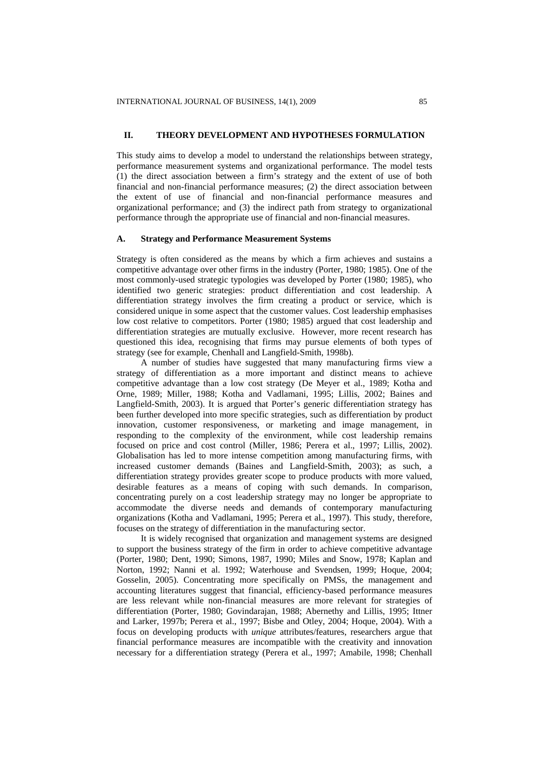# **II. THEORY DEVELOPMENT AND HYPOTHESES FORMULATION**

This study aims to develop a model to understand the relationships between strategy, performance measurement systems and organizational performance. The model tests (1) the direct association between a firm's strategy and the extent of use of both financial and non-financial performance measures; (2) the direct association between the extent of use of financial and non-financial performance measures and organizational performance; and (3) the indirect path from strategy to organizational performance through the appropriate use of financial and non-financial measures.

## **A. Strategy and Performance Measurement Systems**

Strategy is often considered as the means by which a firm achieves and sustains a competitive advantage over other firms in the industry (Porter, 1980; 1985). One of the most commonly-used strategic typologies was developed by Porter (1980; 1985), who identified two generic strategies: product differentiation and cost leadership. A differentiation strategy involves the firm creating a product or service, which is considered unique in some aspect that the customer values. Cost leadership emphasises low cost relative to competitors. Porter (1980; 1985) argued that cost leadership and differentiation strategies are mutually exclusive. However, more recent research has questioned this idea, recognising that firms may pursue elements of both types of strategy (see for example, Chenhall and Langfield-Smith, 1998b).

A number of studies have suggested that many manufacturing firms view a strategy of differentiation as a more important and distinct means to achieve competitive advantage than a low cost strategy (De Meyer et al., 1989; Kotha and Orne, 1989; Miller, 1988; Kotha and Vadlamani, 1995; Lillis, 2002; Baines and Langfield-Smith, 2003). It is argued that Porter's generic differentiation strategy has been further developed into more specific strategies, such as differentiation by product innovation, customer responsiveness, or marketing and image management, in responding to the complexity of the environment, while cost leadership remains focused on price and cost control (Miller, 1986; Perera et al., 1997; Lillis, 2002). Globalisation has led to more intense competition among manufacturing firms, with increased customer demands (Baines and Langfield-Smith, 2003); as such, a differentiation strategy provides greater scope to produce products with more valued, desirable features as a means of coping with such demands. In comparison, concentrating purely on a cost leadership strategy may no longer be appropriate to accommodate the diverse needs and demands of contemporary manufacturing organizations (Kotha and Vadlamani, 1995; Perera et al., 1997). This study, therefore, focuses on the strategy of differentiation in the manufacturing sector.

It is widely recognised that organization and management systems are designed to support the business strategy of the firm in order to achieve competitive advantage (Porter, 1980; Dent, 1990; Simons, 1987, 1990; Miles and Snow, 1978; Kaplan and Norton, 1992; Nanni et al. 1992; Waterhouse and Svendsen, 1999; Hoque, 2004; Gosselin, 2005). Concentrating more specifically on PMSs, the management and accounting literatures suggest that financial, efficiency-based performance measures are less relevant while non-financial measures are more relevant for strategies of differentiation (Porter, 1980; Govindarajan, 1988; Abernethy and Lillis, 1995; Ittner and Larker, 1997b; Perera et al., 1997; Bisbe and Otley, 2004; Hoque, 2004). With a focus on developing products with *unique* attributes/features, researchers argue that financial performance measures are incompatible with the creativity and innovation necessary for a differentiation strategy (Perera et al., 1997; Amabile, 1998; Chenhall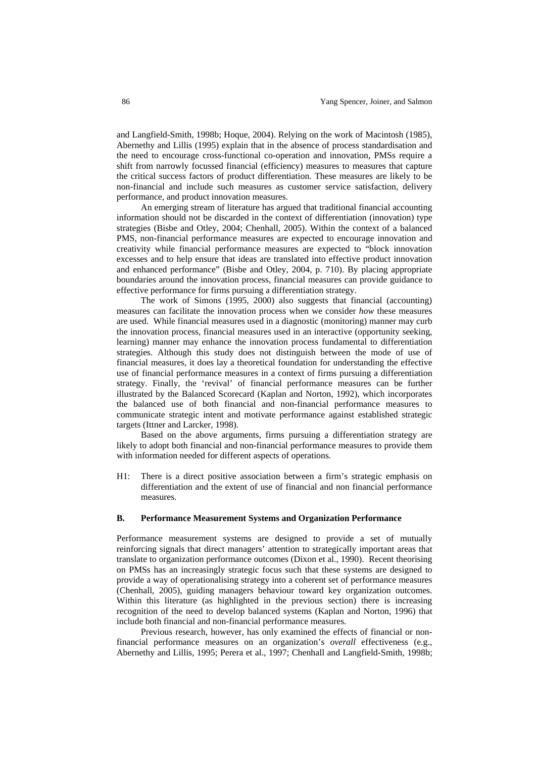and Langfield-Smith, 1998b; Hoque, 2004). Relying on the work of Macintosh (1985), Abernethy and Lillis (1995) explain that in the absence of process standardisation and the need to encourage cross-functional co-operation and innovation, PMSs require a shift from narrowly focussed financial (efficiency) measures to measures that capture the critical success factors of product differentiation. These measures are likely to be non-financial and include such measures as customer service satisfaction, delivery performance, and product innovation measures.

An emerging stream of literature has argued that traditional financial accounting information should not be discarded in the context of differentiation (innovation) type strategies (Bisbe and Otley, 2004; Chenhall, 2005). Within the context of a balanced PMS, non-financial performance measures are expected to encourage innovation and creativity while financial performance measures are expected to "block innovation excesses and to help ensure that ideas are translated into effective product innovation and enhanced performance" (Bisbe and Otley, 2004, p. 710). By placing appropriate boundaries around the innovation process, financial measures can provide guidance to effective performance for firms pursuing a differentiation strategy.

The work of Simons (1995, 2000) also suggests that financial (accounting) measures can facilitate the innovation process when we consider *how* these measures are used. While financial measures used in a diagnostic (monitoring) manner may curb the innovation process, financial measures used in an interactive (opportunity seeking, learning) manner may enhance the innovation process fundamental to differentiation strategies. Although this study does not distinguish between the mode of use of financial measures, it does lay a theoretical foundation for understanding the effective use of financial performance measures in a context of firms pursuing a differentiation strategy. Finally, the 'revival' of financial performance measures can be further illustrated by the Balanced Scorecard (Kaplan and Norton, 1992), which incorporates the balanced use of both financial and non-financial performance measures to communicate strategic intent and motivate performance against established strategic targets (Ittner and Larcker, 1998).

Based on the above arguments, firms pursuing a differentiation strategy are likely to adopt both financial and non-financial performance measures to provide them with information needed for different aspects of operations.

H1: There is a direct positive association between a firm's strategic emphasis on differentiation and the extent of use of financial and non financial performance measures.

### **B. Performance Measurement Systems and Organization Performance**

Performance measurement systems are designed to provide a set of mutually reinforcing signals that direct managers' attention to strategically important areas that translate to organization performance outcomes (Dixon et al., 1990). Recent theorising on PMSs has an increasingly strategic focus such that these systems are designed to provide a way of operationalising strategy into a coherent set of performance measures (Chenhall, 2005), guiding managers behaviour toward key organization outcomes. Within this literature (as highlighted in the previous section) there is increasing recognition of the need to develop balanced systems (Kaplan and Norton, 1996) that include both financial and non-financial performance measures.

Previous research, however, has only examined the effects of financial or nonfinancial performance measures on an organization's *overall* effectiveness (e.g., Abernethy and Lillis, 1995; Perera et al., 1997; Chenhall and Langfield-Smith, 1998b;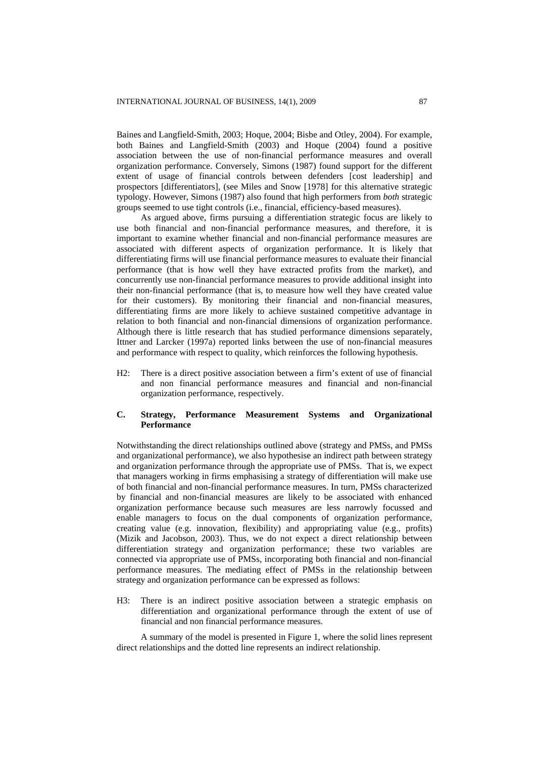Baines and Langfield-Smith, 2003; Hoque, 2004; Bisbe and Otley, 2004). For example, both Baines and Langfield-Smith (2003) and Hoque (2004) found a positive association between the use of non-financial performance measures and overall organization performance. Conversely, Simons (1987) found support for the different extent of usage of financial controls between defenders [cost leadership] and prospectors [differentiators], (see Miles and Snow [1978] for this alternative strategic typology. However, Simons (1987) also found that high performers from *both* strategic groups seemed to use tight controls (i.e., financial, efficiency-based measures).

As argued above, firms pursuing a differentiation strategic focus are likely to use both financial and non-financial performance measures, and therefore, it is important to examine whether financial and non-financial performance measures are associated with different aspects of organization performance. It is likely that differentiating firms will use financial performance measures to evaluate their financial performance (that is how well they have extracted profits from the market), and concurrently use non-financial performance measures to provide additional insight into their non-financial performance (that is, to measure how well they have created value for their customers). By monitoring their financial and non-financial measures, differentiating firms are more likely to achieve sustained competitive advantage in relation to both financial and non-financial dimensions of organization performance. Although there is little research that has studied performance dimensions separately, Ittner and Larcker (1997a) reported links between the use of non-financial measures and performance with respect to quality, which reinforces the following hypothesis.

H2: There is a direct positive association between a firm's extent of use of financial and non financial performance measures and financial and non-financial organization performance, respectively.

### **C. Strategy, Performance Measurement Systems and Organizational Performance**

Notwithstanding the direct relationships outlined above (strategy and PMSs, and PMSs and organizational performance), we also hypothesise an indirect path between strategy and organization performance through the appropriate use of PMSs. That is, we expect that managers working in firms emphasising a strategy of differentiation will make use of both financial and non-financial performance measures. In turn, PMSs characterized by financial and non-financial measures are likely to be associated with enhanced organization performance because such measures are less narrowly focussed and enable managers to focus on the dual components of organization performance, creating value (e.g. innovation, flexibility) and appropriating value (e.g., profits) (Mizik and Jacobson, 2003). Thus, we do not expect a direct relationship between differentiation strategy and organization performance; these two variables are connected via appropriate use of PMSs, incorporating both financial and non-financial performance measures. The mediating effect of PMSs in the relationship between strategy and organization performance can be expressed as follows:

H3: There is an indirect positive association between a strategic emphasis on differentiation and organizational performance through the extent of use of financial and non financial performance measures.

A summary of the model is presented in Figure 1, where the solid lines represent direct relationships and the dotted line represents an indirect relationship.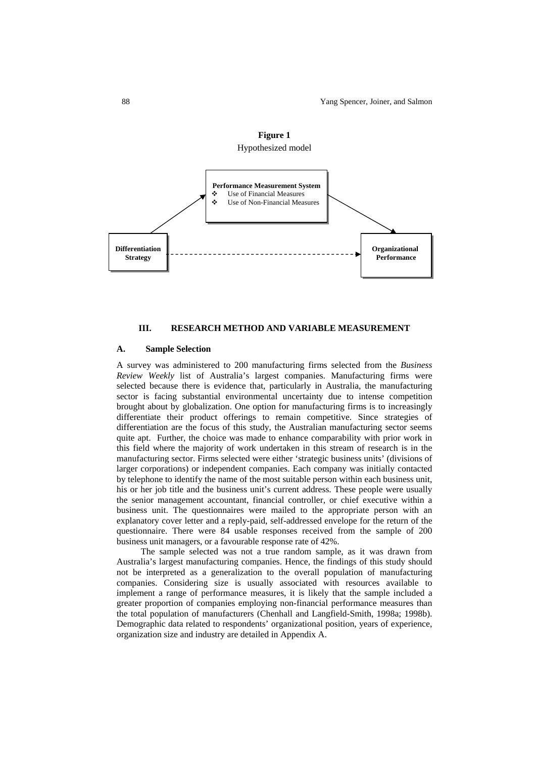

#### **III. RESEARCH METHOD AND VARIABLE MEASUREMENT**

#### **A. Sample Selection**

A survey was administered to 200 manufacturing firms selected from the *Business Review Weekly* list of Australia's largest companies. Manufacturing firms were selected because there is evidence that, particularly in Australia, the manufacturing sector is facing substantial environmental uncertainty due to intense competition brought about by globalization. One option for manufacturing firms is to increasingly differentiate their product offerings to remain competitive. Since strategies of differentiation are the focus of this study, the Australian manufacturing sector seems quite apt. Further, the choice was made to enhance comparability with prior work in this field where the majority of work undertaken in this stream of research is in the manufacturing sector. Firms selected were either 'strategic business units' (divisions of larger corporations) or independent companies. Each company was initially contacted by telephone to identify the name of the most suitable person within each business unit, his or her job title and the business unit's current address. These people were usually the senior management accountant, financial controller, or chief executive within a business unit. The questionnaires were mailed to the appropriate person with an explanatory cover letter and a reply-paid, self-addressed envelope for the return of the questionnaire. There were 84 usable responses received from the sample of 200 business unit managers, or a favourable response rate of 42%.

The sample selected was not a true random sample, as it was drawn from Australia's largest manufacturing companies. Hence, the findings of this study should not be interpreted as a generalization to the overall population of manufacturing companies. Considering size is usually associated with resources available to implement a range of performance measures, it is likely that the sample included a greater proportion of companies employing non-financial performance measures than the total population of manufacturers (Chenhall and Langfield-Smith, 1998a; 1998b). Demographic data related to respondents' organizational position, years of experience, organization size and industry are detailed in Appendix A.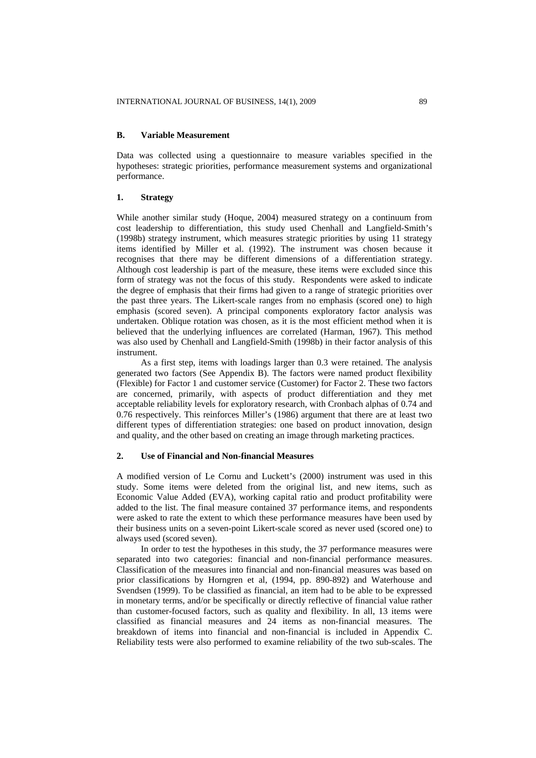### **B. Variable Measurement**

Data was collected using a questionnaire to measure variables specified in the hypotheses: strategic priorities, performance measurement systems and organizational performance.

### **1. Strategy**

While another similar study (Hoque, 2004) measured strategy on a continuum from cost leadership to differentiation, this study used Chenhall and Langfield-Smith's (1998b) strategy instrument, which measures strategic priorities by using 11 strategy items identified by Miller et al. (1992). The instrument was chosen because it recognises that there may be different dimensions of a differentiation strategy. Although cost leadership is part of the measure, these items were excluded since this form of strategy was not the focus of this study. Respondents were asked to indicate the degree of emphasis that their firms had given to a range of strategic priorities over the past three years. The Likert-scale ranges from no emphasis (scored one) to high emphasis (scored seven). A principal components exploratory factor analysis was undertaken. Oblique rotation was chosen, as it is the most efficient method when it is believed that the underlying influences are correlated (Harman, 1967). This method was also used by Chenhall and Langfield-Smith (1998b) in their factor analysis of this instrument.

As a first step, items with loadings larger than 0.3 were retained. The analysis generated two factors (See Appendix B). The factors were named product flexibility (Flexible) for Factor 1 and customer service (Customer) for Factor 2. These two factors are concerned, primarily, with aspects of product differentiation and they met acceptable reliability levels for exploratory research, with Cronbach alphas of 0.74 and 0.76 respectively. This reinforces Miller's (1986) argument that there are at least two different types of differentiation strategies: one based on product innovation, design and quality, and the other based on creating an image through marketing practices.

## **2. Use of Financial and Non-financial Measures**

A modified version of Le Cornu and Luckett's (2000) instrument was used in this study. Some items were deleted from the original list, and new items, such as Economic Value Added (EVA), working capital ratio and product profitability were added to the list. The final measure contained 37 performance items, and respondents were asked to rate the extent to which these performance measures have been used by their business units on a seven-point Likert-scale scored as never used (scored one) to always used (scored seven).

In order to test the hypotheses in this study, the 37 performance measures were separated into two categories: financial and non-financial performance measures. Classification of the measures into financial and non-financial measures was based on prior classifications by Horngren et al, (1994, pp. 890-892) and Waterhouse and Svendsen (1999). To be classified as financial, an item had to be able to be expressed in monetary terms, and/or be specifically or directly reflective of financial value rather than customer-focused factors, such as quality and flexibility. In all, 13 items were classified as financial measures and 24 items as non-financial measures. The breakdown of items into financial and non-financial is included in Appendix C. Reliability tests were also performed to examine reliability of the two sub-scales. The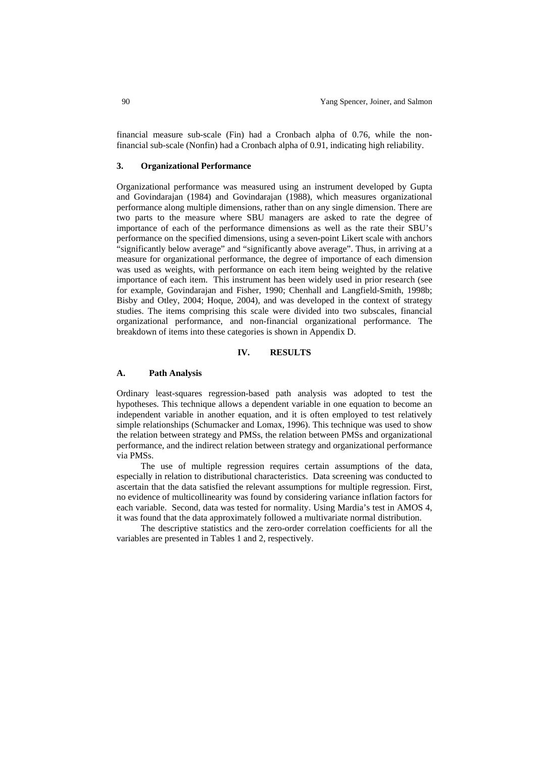financial measure sub-scale (Fin) had a Cronbach alpha of 0.76, while the nonfinancial sub-scale (Nonfin) had a Cronbach alpha of 0.91, indicating high reliability.

### **3. Organizational Performance**

Organizational performance was measured using an instrument developed by Gupta and Govindarajan (1984) and Govindarajan (1988), which measures organizational performance along multiple dimensions, rather than on any single dimension. There are two parts to the measure where SBU managers are asked to rate the degree of importance of each of the performance dimensions as well as the rate their SBU's performance on the specified dimensions, using a seven-point Likert scale with anchors "significantly below average" and "significantly above average". Thus, in arriving at a measure for organizational performance, the degree of importance of each dimension was used as weights, with performance on each item being weighted by the relative importance of each item. This instrument has been widely used in prior research (see for example, Govindarajan and Fisher, 1990; Chenhall and Langfield-Smith, 1998b; Bisby and Otley, 2004; Hoque, 2004), and was developed in the context of strategy studies. The items comprising this scale were divided into two subscales, financial organizational performance, and non-financial organizational performance. The breakdown of items into these categories is shown in Appendix D.

# **IV. RESULTS**

### **A. Path Analysis**

Ordinary least-squares regression-based path analysis was adopted to test the hypotheses. This technique allows a dependent variable in one equation to become an independent variable in another equation, and it is often employed to test relatively simple relationships (Schumacker and Lomax, 1996). This technique was used to show the relation between strategy and PMSs, the relation between PMSs and organizational performance, and the indirect relation between strategy and organizational performance via PMSs.

The use of multiple regression requires certain assumptions of the data, especially in relation to distributional characteristics. Data screening was conducted to ascertain that the data satisfied the relevant assumptions for multiple regression. First, no evidence of multicollinearity was found by considering variance inflation factors for each variable. Second, data was tested for normality. Using Mardia's test in AMOS 4, it was found that the data approximately followed a multivariate normal distribution.

The descriptive statistics and the zero-order correlation coefficients for all the variables are presented in Tables 1 and 2, respectively.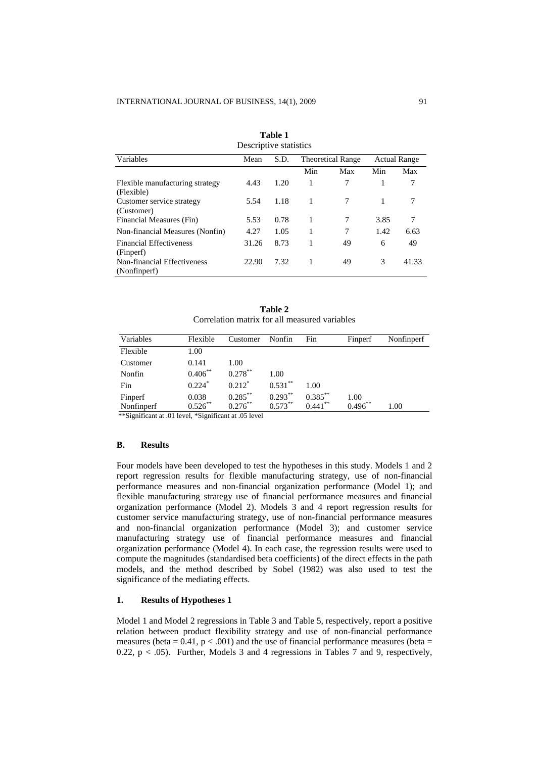| Descriptive statistics                        |       |      |                          |     |      |                     |  |
|-----------------------------------------------|-------|------|--------------------------|-----|------|---------------------|--|
| Variables                                     | Mean  | S.D. | <b>Theoretical Range</b> |     |      | <b>Actual Range</b> |  |
|                                               |       |      | Min                      | Max | Min  | Max                 |  |
| Flexible manufacturing strategy<br>(Flexible) | 4.43  | 1.20 | 1                        | 7   |      | 7                   |  |
| Customer service strategy<br>(Customer)       | 5.54  | 1.18 | 1                        | 7   | 1    | 7                   |  |
| Financial Measures (Fin)                      | 5.53  | 0.78 | 1                        | 7   | 3.85 | 7                   |  |
| Non-financial Measures (Nonfin)               | 4.27  | 1.05 | 1                        | 7   | 1.42 | 6.63                |  |
| <b>Financial Effectiveness</b><br>(Finperf)   | 31.26 | 8.73 |                          | 49  | 6    | 49                  |  |
| Non-financial Effectiveness<br>(Nonfinperf)   | 22.90 | 7.32 |                          | 49  | 3    | 41.33               |  |

**Table 1** 

**Table 2**  Correlation matrix for all measured variables

| Variables  | Flexible             | Customer             | Nonfin     | Fin        | Finperf    | Nonfinperf |
|------------|----------------------|----------------------|------------|------------|------------|------------|
| Flexible   | 1.00                 |                      |            |            |            |            |
| Customer   | 0.141                | 1.00                 |            |            |            |            |
| Nonfin     | $0.406***$           | $0.278***$           | 1.00       |            |            |            |
| Fin        | $0.224$ <sup>*</sup> | $0.212$ <sup>*</sup> | $0.531***$ | 1.00       |            |            |
| Finperf    | 0.038                | $0.285***$           | $0.293***$ | $0.385***$ | 1.00       |            |
| Nonfinperf | $0.526***$           | $0.276***$           | $0.573***$ | $0.441***$ | $0.496***$ | 1.00       |

\*\*Significant at .01 level, \*Significant at .05 level

### **B. Results**

Four models have been developed to test the hypotheses in this study. Models 1 and 2 report regression results for flexible manufacturing strategy, use of non-financial performance measures and non-financial organization performance (Model 1); and flexible manufacturing strategy use of financial performance measures and financial organization performance (Model 2). Models 3 and 4 report regression results for customer service manufacturing strategy, use of non-financial performance measures and non-financial organization performance (Model 3); and customer service manufacturing strategy use of financial performance measures and financial organization performance (Model 4). In each case, the regression results were used to compute the magnitudes (standardised beta coefficients) of the direct effects in the path models, and the method described by Sobel (1982) was also used to test the significance of the mediating effects.

### **1. Results of Hypotheses 1**

Model 1 and Model 2 regressions in Table 3 and Table 5, respectively, report a positive relation between product flexibility strategy and use of non-financial performance measures (beta =  $0.41$ ,  $p < .001$ ) and the use of financial performance measures (beta = 0.22,  $p < .05$ ). Further, Models 3 and 4 regressions in Tables 7 and 9, respectively,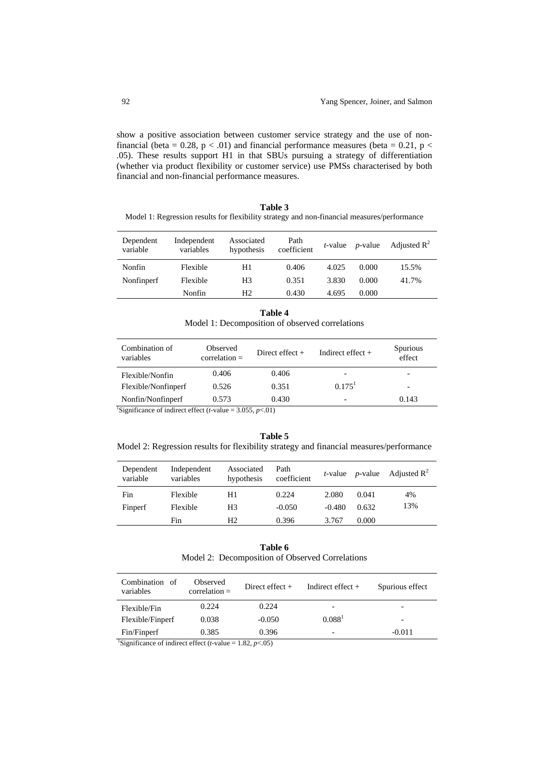show a positive association between customer service strategy and the use of nonfinancial (beta = 0.28,  $p < .01$ ) and financial performance measures (beta = 0.21,  $p <$ .05). These results support H1 in that SBUs pursuing a strategy of differentiation (whether via product flexibility or customer service) use PMSs characterised by both financial and non-financial performance measures.

**Table 3**  Model 1: Regression results for flexibility strategy and non-financial measures/performance

| Dependent<br>variable | Independent<br>variables | Associated<br>hypothesis | Path<br>coefficient | t-value | $p$ -value | Adjusted $R^2$ |
|-----------------------|--------------------------|--------------------------|---------------------|---------|------------|----------------|
| Nonfin                | Flexible                 | H1                       | 0.406               | 4.025   | 0.000      | 15.5%          |
| Nonfinperf            | Flexible                 | H3                       | 0.351               | 3.830   | 0.000      | 41.7%          |
|                       | Nonfin                   | Η2                       | 0.430               | 4.695   | 0.000      |                |

| Table 4                                         |
|-------------------------------------------------|
| Model 1: Decomposition of observed correlations |

| Combination of<br>variables                                                      | Observed<br>$correlation =$ | Direct effect $+$ | Indirect effect $+$      | Spurious<br>effect       |  |  |
|----------------------------------------------------------------------------------|-----------------------------|-------------------|--------------------------|--------------------------|--|--|
| Flexible/Nonfin                                                                  | 0.406                       | 0.406             |                          |                          |  |  |
| Flexible/Nonfinperf                                                              | 0.526                       | 0.351             | $0.175$ <sup>1</sup>     | $\overline{\phantom{0}}$ |  |  |
| Nonfin/Nonfinperf                                                                | 0.573                       | 0.430             | $\overline{\phantom{0}}$ | 0.143                    |  |  |
| <sup>1</sup> Significance of indirect effect ( <i>t</i> -value = 3.055, $p<01$ ) |                             |                   |                          |                          |  |  |

**Table 5**  Model 2: Regression results for flexibility strategy and financial measures/performance

| Dependent<br>variable | Independent<br>variables | Associated<br>hypothesis | Path<br>coefficient |          |       | <i>t</i> -value <i>p</i> -value Adjusted $\mathbb{R}^2$ |
|-----------------------|--------------------------|--------------------------|---------------------|----------|-------|---------------------------------------------------------|
| Fin                   | Flexible                 | H1.                      | 0.224               | 2.080    | 0.041 | 4%                                                      |
| Finperf               | Flexible                 | H <sub>3</sub>           | $-0.050$            | $-0.480$ | 0.632 | 13%                                                     |
|                       | Fin                      | H <sub>2</sub>           | 0.396               | 3.767    | 0.000 |                                                         |

| Table 6                                         |
|-------------------------------------------------|
| Model 2: Decomposition of Observed Correlations |

| Combination<br>- of<br>variables | Observed<br>$correlation =$ | Direct effect $+$ | Indirect effect $+$      | Spurious effect          |
|----------------------------------|-----------------------------|-------------------|--------------------------|--------------------------|
| Flexible/Fin                     | 0.224                       | 0.224             | $\overline{\phantom{0}}$ | $\overline{\phantom{0}}$ |
| Flexible/Finperf                 | 0.038                       | $-0.050$          | 0.088 <sup>1</sup>       | -                        |
| Fin/Finperf                      | 0.385                       | 0.396             | $\overline{\phantom{a}}$ | $-0.011$                 |
|                                  |                             |                   |                          |                          |

<sup>1</sup>Significance of indirect effect (*t*-value = 1.82,  $p$ <.05)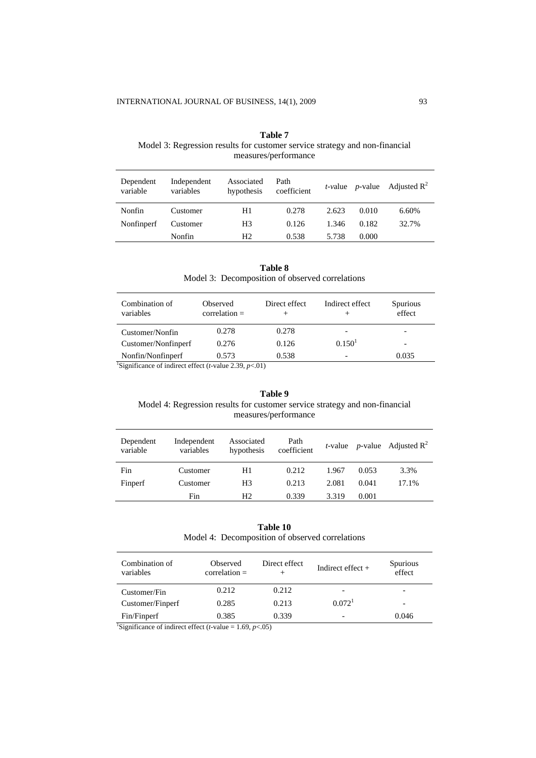| measures/performance  |                          |                          |                     |            |                 |                         |  |
|-----------------------|--------------------------|--------------------------|---------------------|------------|-----------------|-------------------------|--|
| Dependent<br>variable | Independent<br>variables | Associated<br>hypothesis | Path<br>coefficient | $t$ -value | <i>p</i> -value | Adjusted $\mathbb{R}^2$ |  |
| Nonfin                | Customer                 | H1                       | 0.278               | 2.623      | 0.010           | 6.60%                   |  |
| Nonfinperf            | Customer                 | H <sub>3</sub>           | 0.126               | 1.346      | 0.182           | 32.7%                   |  |
|                       | Nonfin                   | H <sub>2</sub>           | 0.538               | 5.738      | 0.000           |                         |  |

| Table 7                                                                     |
|-----------------------------------------------------------------------------|
| Model 3: Regression results for customer service strategy and non-financial |
| measures/performance                                                        |

**Table 8**  Model 3: Decomposition of observed correlations

| Combination of<br>variables | <b>Observed</b><br>$correlation =$                                            | Direct effect | Indirect effect    | <b>Spurious</b><br>effect |  |  |  |
|-----------------------------|-------------------------------------------------------------------------------|---------------|--------------------|---------------------------|--|--|--|
| Customer/Nonfin             | 0.278                                                                         | 0.278         |                    |                           |  |  |  |
| Customer/Nonfinperf         | 0.276                                                                         | 0.126         | 0.150 <sup>1</sup> | -                         |  |  |  |
| Nonfin/Nonfinperf           | 0.573                                                                         | 0.538         |                    | 0.035                     |  |  |  |
|                             | <sup>1</sup> Significance of indirect effect ( <i>t</i> -value 2.39, $p<01$ ) |               |                    |                           |  |  |  |

# **Table 9**  Model 4: Regression results for customer service strategy and non-financial measures/performance

| Dependent<br>variable | Independent<br>variables | Associated<br>hypothesis | Path<br>coefficient |       |       | <i>t</i> -value <i>p</i> -value Adjusted $\mathbb{R}^2$ |
|-----------------------|--------------------------|--------------------------|---------------------|-------|-------|---------------------------------------------------------|
| Fin                   | Customer                 | H1                       | 0.212               | 1.967 | 0.053 | 3.3%                                                    |
| Finperf               | Customer                 | H <sub>3</sub>           | 0.213               | 2.081 | 0.041 | 17.1%                                                   |
|                       | Fin                      | H <sub>2</sub>           | 0.339               | 3.319 | 0.001 |                                                         |

**Table 10**  Model 4: Decomposition of observed correlations

| Combination of<br>variables                                                           | Observed<br>$correlation =$ | Direct effect<br>$^+$ | Indirect effect $+$ | Spurious<br>effect |  |  |
|---------------------------------------------------------------------------------------|-----------------------------|-----------------------|---------------------|--------------------|--|--|
| Customer/Fin                                                                          | 0.212                       | 0.212                 |                     |                    |  |  |
| Customer/Finperf                                                                      | 0.285                       | 0.213                 | 0.072 <sup>1</sup>  |                    |  |  |
| Fin/Finperf                                                                           | 0.385                       | 0.339                 |                     | 0.046              |  |  |
| <sup>1</sup> Significance of indirect effect ( <i>t</i> -value = 1.69, <i>p</i> <.05) |                             |                       |                     |                    |  |  |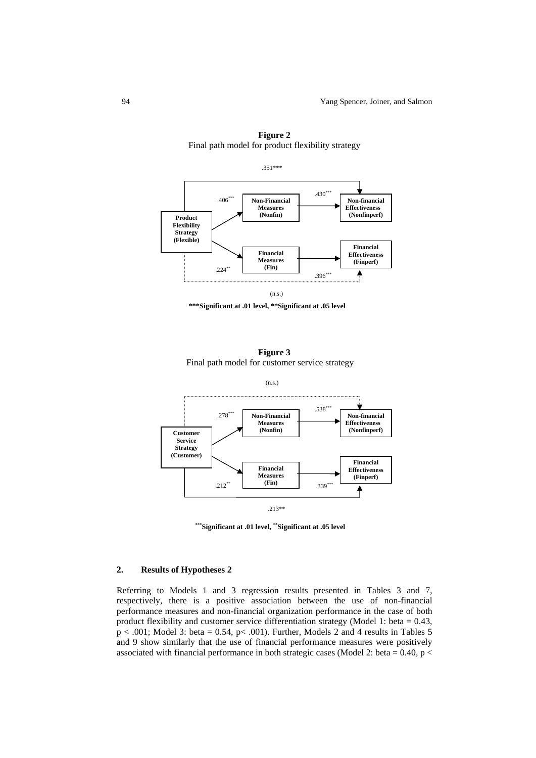

**Figure 2**  Final path model for product flexibility strategy







**\*\*\*Significant at .01 level, \*\*Significant at .05 level** 

# **2. Results of Hypotheses 2**

Referring to Models 1 and 3 regression results presented in Tables 3 and 7, respectively, there is a positive association between the use of non-financial performance measures and non-financial organization performance in the case of both product flexibility and customer service differentiation strategy (Model 1: beta = 0.43,  $p < .001$ ; Model 3: beta = 0.54,  $p < .001$ ). Further, Models 2 and 4 results in Tables 5 and 9 show similarly that the use of financial performance measures were positively associated with financial performance in both strategic cases (Model 2: beta = 0.40, p <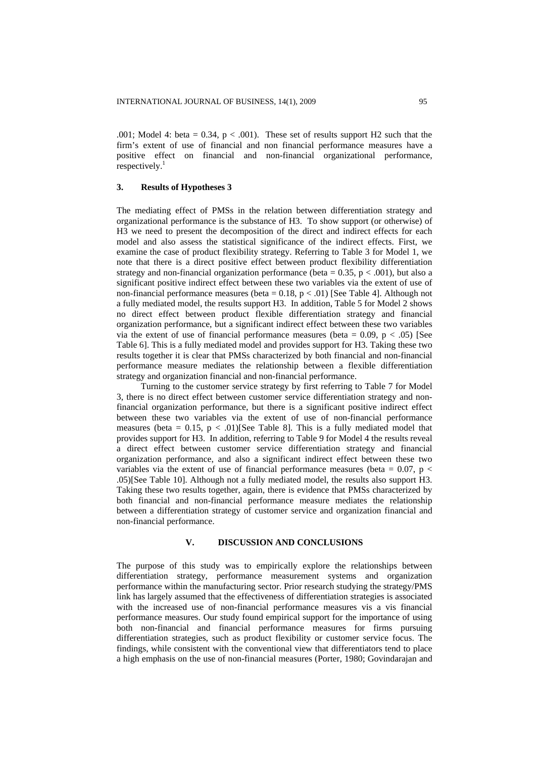.001; Model 4: beta =  $0.34$ ,  $p < .001$ ). These set of results support H2 such that the firm's extent of use of financial and non financial performance measures have a positive effect on financial and non-financial organizational performance,  $respectively.<sup>1</sup>$ 

# **3. Results of Hypotheses 3**

The mediating effect of PMSs in the relation between differentiation strategy and organizational performance is the substance of H3. To show support (or otherwise) of H3 we need to present the decomposition of the direct and indirect effects for each model and also assess the statistical significance of the indirect effects. First, we examine the case of product flexibility strategy. Referring to Table 3 for Model 1, we note that there is a direct positive effect between product flexibility differentiation strategy and non-financial organization performance (beta =  $0.35$ , p < .001), but also a significant positive indirect effect between these two variables via the extent of use of non-financial performance measures (beta =  $0.18$ ,  $p < .01$ ) [See Table 4]. Although not a fully mediated model, the results support H3. In addition, Table 5 for Model 2 shows no direct effect between product flexible differentiation strategy and financial organization performance, but a significant indirect effect between these two variables via the extent of use of financial performance measures (beta =  $0.09$ , p <  $.05$ ) [See Table 6]. This is a fully mediated model and provides support for H3. Taking these two results together it is clear that PMSs characterized by both financial and non-financial performance measure mediates the relationship between a flexible differentiation strategy and organization financial and non-financial performance.

Turning to the customer service strategy by first referring to Table 7 for Model 3, there is no direct effect between customer service differentiation strategy and nonfinancial organization performance, but there is a significant positive indirect effect between these two variables via the extent of use of non-financial performance measures (beta =  $0.15$ ,  $p < .01$ )[See Table 8]. This is a fully mediated model that provides support for H3. In addition, referring to Table 9 for Model 4 the results reveal a direct effect between customer service differentiation strategy and financial organization performance, and also a significant indirect effect between these two variables via the extent of use of financial performance measures (beta =  $0.07$ , p < .05)[See Table 10]. Although not a fully mediated model, the results also support H3. Taking these two results together, again, there is evidence that PMSs characterized by both financial and non-financial performance measure mediates the relationship between a differentiation strategy of customer service and organization financial and non-financial performance.

# **V. DISCUSSION AND CONCLUSIONS**

The purpose of this study was to empirically explore the relationships between differentiation strategy, performance measurement systems and organization performance within the manufacturing sector. Prior research studying the strategy/PMS link has largely assumed that the effectiveness of differentiation strategies is associated with the increased use of non-financial performance measures vis a vis financial performance measures. Our study found empirical support for the importance of using both non-financial and financial performance measures for firms pursuing differentiation strategies, such as product flexibility or customer service focus. The findings, while consistent with the conventional view that differentiators tend to place a high emphasis on the use of non-financial measures (Porter, 1980; Govindarajan and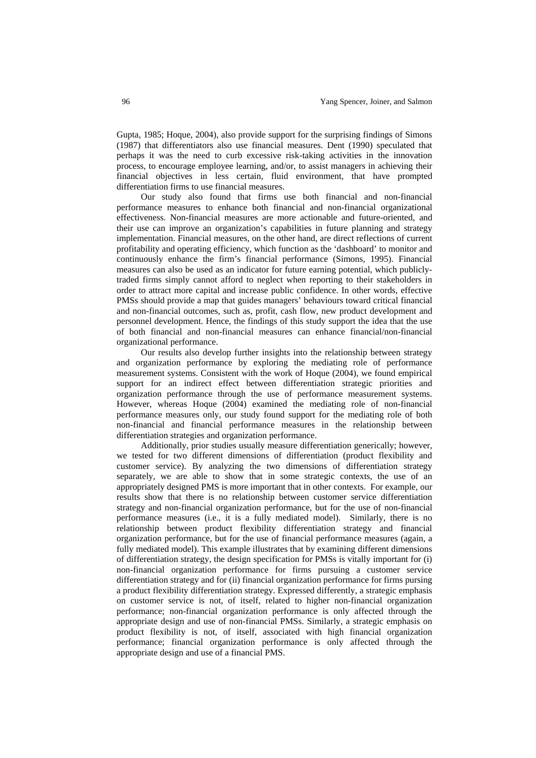Gupta, 1985; Hoque, 2004), also provide support for the surprising findings of Simons (1987) that differentiators also use financial measures. Dent (1990) speculated that perhaps it was the need to curb excessive risk-taking activities in the innovation process, to encourage employee learning, and/or, to assist managers in achieving their financial objectives in less certain, fluid environment, that have prompted differentiation firms to use financial measures.

Our study also found that firms use both financial and non-financial performance measures to enhance both financial and non-financial organizational effectiveness. Non-financial measures are more actionable and future-oriented, and their use can improve an organization's capabilities in future planning and strategy implementation. Financial measures, on the other hand, are direct reflections of current profitability and operating efficiency, which function as the 'dashboard' to monitor and continuously enhance the firm's financial performance (Simons, 1995). Financial measures can also be used as an indicator for future earning potential, which publiclytraded firms simply cannot afford to neglect when reporting to their stakeholders in order to attract more capital and increase public confidence. In other words, effective PMSs should provide a map that guides managers' behaviours toward critical financial and non-financial outcomes, such as, profit, cash flow, new product development and personnel development. Hence, the findings of this study support the idea that the use of both financial and non-financial measures can enhance financial/non-financial organizational performance.

Our results also develop further insights into the relationship between strategy and organization performance by exploring the mediating role of performance measurement systems. Consistent with the work of Hoque (2004), we found empirical support for an indirect effect between differentiation strategic priorities and organization performance through the use of performance measurement systems. However, whereas Hoque (2004) examined the mediating role of non-financial performance measures only, our study found support for the mediating role of both non-financial and financial performance measures in the relationship between differentiation strategies and organization performance.

Additionally, prior studies usually measure differentiation generically; however, we tested for two different dimensions of differentiation (product flexibility and customer service). By analyzing the two dimensions of differentiation strategy separately, we are able to show that in some strategic contexts, the use of an appropriately designed PMS is more important that in other contexts. For example, our results show that there is no relationship between customer service differentiation strategy and non-financial organization performance, but for the use of non-financial performance measures (i.e., it is a fully mediated model). Similarly, there is no relationship between product flexibility differentiation strategy and financial organization performance, but for the use of financial performance measures (again, a fully mediated model). This example illustrates that by examining different dimensions of differentiation strategy, the design specification for PMSs is vitally important for (i) non-financial organization performance for firms pursuing a customer service differentiation strategy and for (ii) financial organization performance for firms pursing a product flexibility differentiation strategy. Expressed differently, a strategic emphasis on customer service is not, of itself, related to higher non-financial organization performance; non-financial organization performance is only affected through the appropriate design and use of non-financial PMSs. Similarly, a strategic emphasis on product flexibility is not, of itself, associated with high financial organization performance; financial organization performance is only affected through the appropriate design and use of a financial PMS.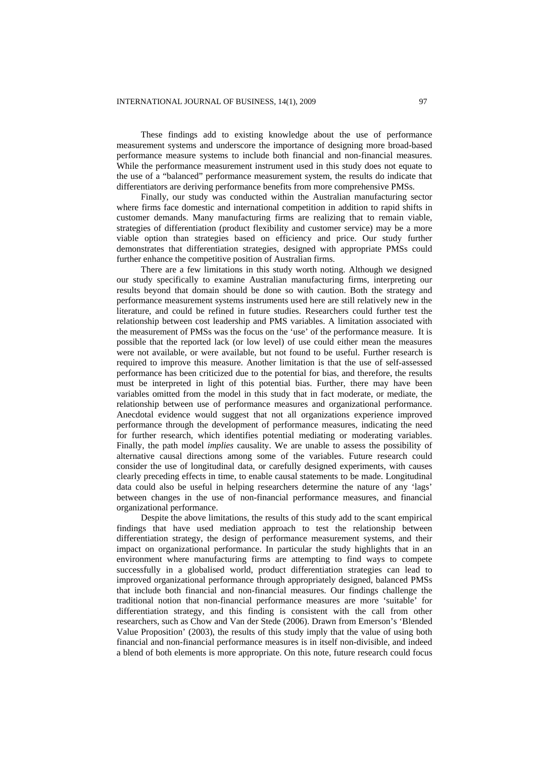These findings add to existing knowledge about the use of performance measurement systems and underscore the importance of designing more broad-based performance measure systems to include both financial and non-financial measures. While the performance measurement instrument used in this study does not equate to the use of a "balanced" performance measurement system, the results do indicate that differentiators are deriving performance benefits from more comprehensive PMSs.

Finally, our study was conducted within the Australian manufacturing sector where firms face domestic and international competition in addition to rapid shifts in customer demands. Many manufacturing firms are realizing that to remain viable, strategies of differentiation (product flexibility and customer service) may be a more viable option than strategies based on efficiency and price. Our study further demonstrates that differentiation strategies, designed with appropriate PMSs could further enhance the competitive position of Australian firms.

There are a few limitations in this study worth noting. Although we designed our study specifically to examine Australian manufacturing firms, interpreting our results beyond that domain should be done so with caution. Both the strategy and performance measurement systems instruments used here are still relatively new in the literature, and could be refined in future studies. Researchers could further test the relationship between cost leadership and PMS variables. A limitation associated with the measurement of PMSs was the focus on the 'use' of the performance measure. It is possible that the reported lack (or low level) of use could either mean the measures were not available, or were available, but not found to be useful. Further research is required to improve this measure. Another limitation is that the use of self-assessed performance has been criticized due to the potential for bias, and therefore, the results must be interpreted in light of this potential bias. Further, there may have been variables omitted from the model in this study that in fact moderate, or mediate, the relationship between use of performance measures and organizational performance. Anecdotal evidence would suggest that not all organizations experience improved performance through the development of performance measures, indicating the need for further research, which identifies potential mediating or moderating variables. Finally, the path model *implies* causality. We are unable to assess the possibility of alternative causal directions among some of the variables. Future research could consider the use of longitudinal data, or carefully designed experiments, with causes clearly preceding effects in time, to enable causal statements to be made. Longitudinal data could also be useful in helping researchers determine the nature of any 'lags' between changes in the use of non-financial performance measures, and financial organizational performance.

Despite the above limitations, the results of this study add to the scant empirical findings that have used mediation approach to test the relationship between differentiation strategy, the design of performance measurement systems, and their impact on organizational performance. In particular the study highlights that in an environment where manufacturing firms are attempting to find ways to compete successfully in a globalised world, product differentiation strategies can lead to improved organizational performance through appropriately designed, balanced PMSs that include both financial and non-financial measures. Our findings challenge the traditional notion that non-financial performance measures are more 'suitable' for differentiation strategy, and this finding is consistent with the call from other researchers, such as Chow and Van der Stede (2006). Drawn from Emerson's 'Blended Value Proposition' (2003), the results of this study imply that the value of using both financial and non-financial performance measures is in itself non-divisible, and indeed a blend of both elements is more appropriate. On this note, future research could focus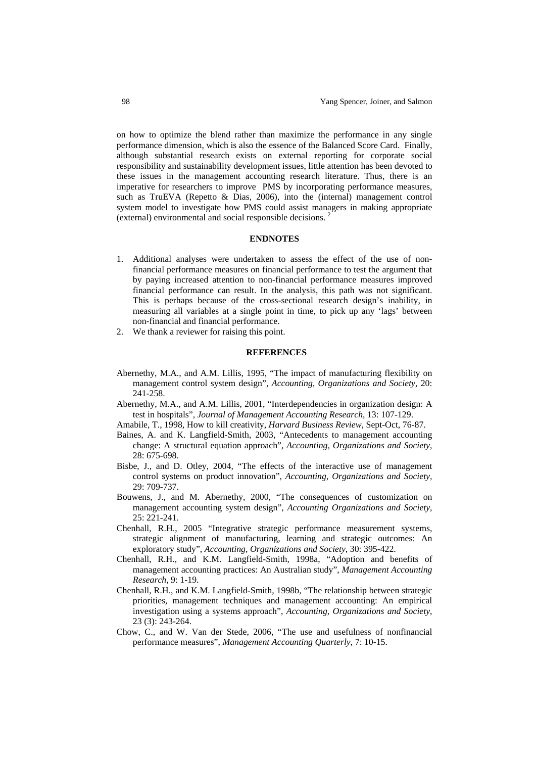on how to optimize the blend rather than maximize the performance in any single performance dimension, which is also the essence of the Balanced Score Card. Finally, although substantial research exists on external reporting for corporate social responsibility and sustainability development issues, little attention has been devoted to these issues in the management accounting research literature. Thus, there is an imperative for researchers to improve PMS by incorporating performance measures, such as TruEVA (Repetto & Dias, 2006), into the (internal) management control system model to investigate how PMS could assist managers in making appropriate (external) environmental and social responsible decisions. 2

#### **ENDNOTES**

- 1. Additional analyses were undertaken to assess the effect of the use of nonfinancial performance measures on financial performance to test the argument that by paying increased attention to non-financial performance measures improved financial performance can result. In the analysis, this path was not significant. This is perhaps because of the cross-sectional research design's inability, in measuring all variables at a single point in time, to pick up any 'lags' between non-financial and financial performance.
- 2. We thank a reviewer for raising this point.

## **REFERENCES**

- Abernethy, M.A., and A.M. Lillis, 1995, "The impact of manufacturing flexibility on management control system design", *Accounting, Organizations and Society*, 20: 241-258.
- Abernethy, M.A., and A.M. Lillis, 2001, "Interdependencies in organization design: A test in hospitals", *Journal of Management Accounting Research*, 13: 107-129.
- Amabile, T., 1998, How to kill creativity, *Harvard Business Review*, Sept-Oct, 76-87.
- Baines, A. and K. Langfield-Smith, 2003, "Antecedents to management accounting change: A structural equation approach", *Accounting, Organizations and Society*, 28: 675-698.
- Bisbe, J., and D. Otley, 2004, "The effects of the interactive use of management control systems on product innovation", *Accounting, Organizations and Society,*  29: 709-737.
- Bouwens, J., and M. Abernethy, 2000, "The consequences of customization on management accounting system design", *Accounting Organizations and Society*, 25: 221-241.
- Chenhall, R.H., 2005 "Integrative strategic performance measurement systems, strategic alignment of manufacturing, learning and strategic outcomes: An exploratory study", *Accounting, Organizations and Society*, 30: 395-422.
- Chenhall, R.H., and K.M. Langfield-Smith, 1998a, "Adoption and benefits of management accounting practices: An Australian study", *Management Accounting Research*, 9: 1-19.
- Chenhall, R.H., and K.M. Langfield-Smith, 1998b, "The relationship between strategic priorities, management techniques and management accounting: An empirical investigation using a systems approach", *Accounting, Organizations and Society*, 23 (3): 243-264.
- Chow, C., and W. Van der Stede, 2006, "The use and usefulness of nonfinancial performance measures", *Management Accounting Quarterly*, 7: 10-15.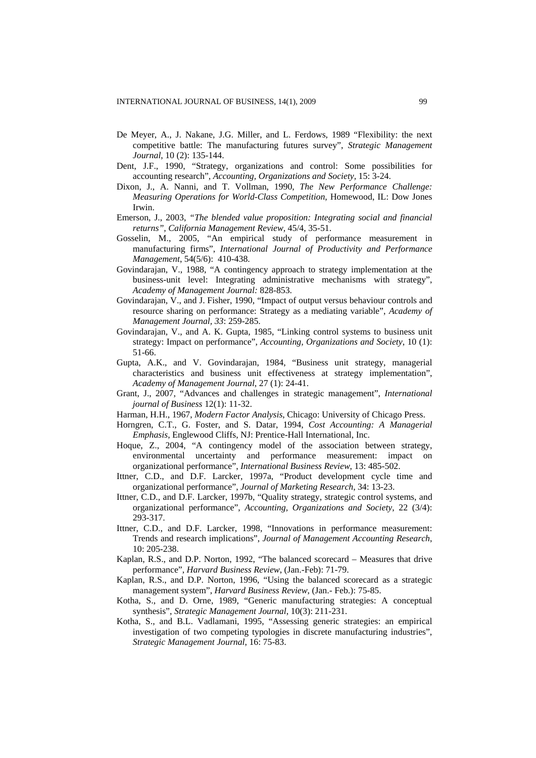- De Meyer, A., J. Nakane, J.G. Miller, and L. Ferdows, 1989 "Flexibility: the next competitive battle: The manufacturing futures survey", *Strategic Management Journal*, 10 (2): 135-144.
- Dent, J.F., 1990, "Strategy, organizations and control: Some possibilities for accounting research", *Accounting, Organizations and Society,* 15: 3-24.
- Dixon, J., A. Nanni, and T. Vollman, 1990, *The New Performance Challenge: Measuring Operations for World-Class Competition*, Homewood, IL: Dow Jones Irwin.
- Emerson, J., 2003, *"The blended value proposition: Integrating social and financial returns", California Management Review,* 45/4, 35-51.
- Gosselin, M., 2005, "An empirical study of performance measurement in manufacturing firms", *International Journal of Productivity and Performance Management*, 54(5/6): 410-438.
- Govindarajan, V., 1988, "A contingency approach to strategy implementation at the business-unit level: Integrating administrative mechanisms with strategy", *Academy of Management Journal:* 828-853.
- Govindarajan, V., and J. Fisher, 1990, "Impact of output versus behaviour controls and resource sharing on performance: Strategy as a mediating variable", *Academy of Management Journal, 33*: 259-285.
- Govindarajan, V., and A. K. Gupta, 1985, "Linking control systems to business unit strategy: Impact on performance", *Accounting, Organizations and Society*, 10 (1): 51-66.
- Gupta, A.K., and V. Govindarajan, 1984, "Business unit strategy, managerial characteristics and business unit effectiveness at strategy implementation", *Academy of Management Journal*, 27 (1): 24-41.
- Grant, J., 2007, "Advances and challenges in strategic management", *International journal of Business* 12(1): 11-32.
- Harman, H.H., 1967, *Modern Factor Analysis*, Chicago: University of Chicago Press.
- Horngren, C.T., G. Foster, and S. Datar, 1994, *Cost Accounting: A Managerial Emphasis*, Englewood Cliffs, NJ: Prentice-Hall International, Inc.
- Hoque, Z., 2004, "A contingency model of the association between strategy, environmental uncertainty and performance measurement: impact on organizational performance", *International Business Review*, 13: 485-502.
- Ittner, C.D., and D.F. Larcker, 1997a, "Product development cycle time and organizational performance", *Journal of Marketing Research*, 34: 13-23.
- Ittner, C.D., and D.F. Larcker, 1997b, "Quality strategy, strategic control systems, and organizational performance", *Accounting, Organizations and Society*, 22 (3/4): 293-317.
- Ittner, C.D., and D.F. Larcker, 1998, "Innovations in performance measurement: Trends and research implications", *Journal of Management Accounting Research*, 10: 205-238.
- Kaplan, R.S., and D.P. Norton, 1992, "The balanced scorecard Measures that drive performance", *Harvard Business Review*, (Jan.-Feb): 71-79.
- Kaplan, R.S., and D.P. Norton, 1996, "Using the balanced scorecard as a strategic management system", *Harvard Business Review*, (Jan.- Feb.): 75-85.
- Kotha, S., and D. Orne, 1989, "Generic manufacturing strategies: A conceptual synthesis", *Strategic Management Journal*, 10(3): 211-231.
- Kotha, S., and B.L. Vadlamani, 1995, "Assessing generic strategies: an empirical investigation of two competing typologies in discrete manufacturing industries", *Strategic Management Journal*, 16: 75-83.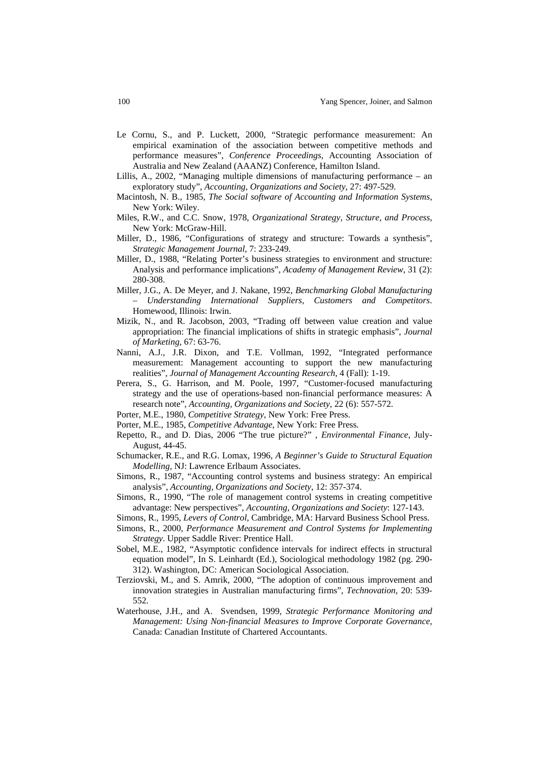- Le Cornu, S., and P. Luckett, 2000, "Strategic performance measurement: An empirical examination of the association between competitive methods and performance measures", *Conference Proceedings*, Accounting Association of Australia and New Zealand (AAANZ) Conference, Hamilton Island.
- Lillis, A., 2002, "Managing multiple dimensions of manufacturing performance an exploratory study", *Accounting, Organizations and Society*, 27: 497-529.
- Macintosh, N. B., 1985, *The Social software of Accounting and Information Systems,* New York: Wiley.
- Miles, R.W., and C.C. Snow, 1978, *Organizational Strategy, Structure, and Process*, New York: McGraw-Hill.
- Miller, D., 1986, "Configurations of strategy and structure: Towards a synthesis", *Strategic Management Journal*, 7: 233-249.
- Miller, D., 1988, "Relating Porter's business strategies to environment and structure: Analysis and performance implications", *Academy of Management Review*, 31 (2): 280-308.
- Miller, J.G., A. De Meyer, and J. Nakane, 1992, *Benchmarking Global Manufacturing – Understanding International Suppliers, Customers and Competitors*. Homewood, Illinois: Irwin.
- Mizik, N., and R. Jacobson, 2003, "Trading off between value creation and value appropriation: The financial implications of shifts in strategic emphasis", *Journal of Marketing*, 67: 63-76.
- Nanni, A.J., J.R. Dixon, and T.E. Vollman, 1992, "Integrated performance measurement: Management accounting to support the new manufacturing realities", *Journal of Management Accounting Research*, 4 (Fall): 1-19.
- Perera, S., G. Harrison, and M. Poole, 1997, "Customer-focused manufacturing strategy and the use of operations-based non-financial performance measures: A research note", *Accounting, Organizations and Society*, 22 (6): 557-572.
- Porter, M.E., 1980, *Competitive Strategy*, New York: Free Press.
- Porter, M.E., 1985, *Competitive Advantage*, New York: Free Press.
- Repetto, R., and D. Dias, 2006 "The true picture?" , *Environmental Finance*, July-August, 44-45.
- Schumacker, R.E., and R.G. Lomax, 1996, *A Beginner's Guide to Structural Equation Modelling*, NJ: Lawrence Erlbaum Associates.
- Simons, R., 1987, "Accounting control systems and business strategy: An empirical analysis", *Accounting, Organizations and Society*, 12: 357-374.
- Simons, R., 1990, "The role of management control systems in creating competitive advantage: New perspectives", *Accounting, Organizations and Society*: 127-143.
- Simons, R., 1995, *Levers of Control*, Cambridge, MA: Harvard Business School Press.
- Simons, R., 2000, *Performance Measurement and Control Systems for Implementing Strategy*. Upper Saddle River: Prentice Hall.
- Sobel, M.E., 1982, "Asymptotic confidence intervals for indirect effects in structural equation model", In S. Leinhardt (Ed.), Sociological methodology 1982 (pg. 290- 312). Washington, DC: American Sociological Association.
- Terziovski, M., and S. Amrik, 2000, "The adoption of continuous improvement and innovation strategies in Australian manufacturing firms", *Technovation*, 20: 539- 552.
- Waterhouse, J.H., and A. Svendsen, 1999, *Strategic Performance Monitoring and Management: Using Non-financial Measures to Improve Corporate Governance*, Canada: Canadian Institute of Chartered Accountants.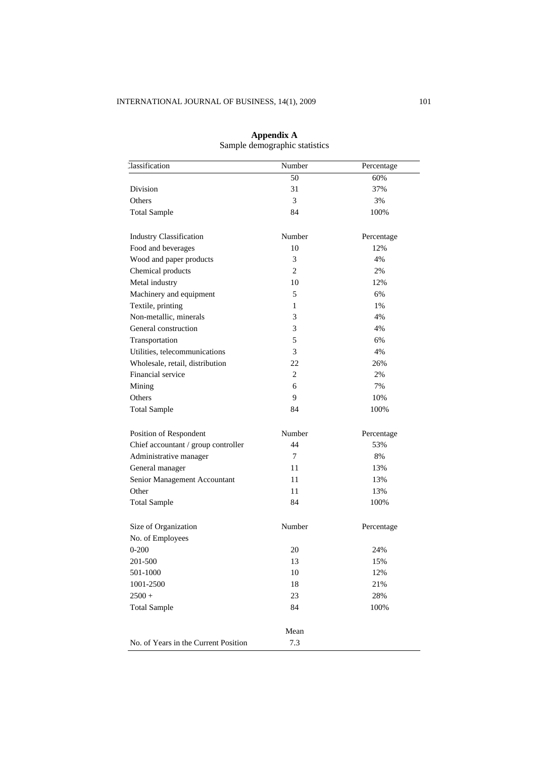| <b>Classification</b>                | Number         | Percentage |
|--------------------------------------|----------------|------------|
|                                      | 50             | 60%        |
| Division                             | 31             | 37%        |
| Others                               | 3              | 3%         |
| <b>Total Sample</b>                  | 84             | 100%       |
| <b>Industry Classification</b>       | Number         | Percentage |
| Food and beverages                   | 10             | 12%        |
| Wood and paper products              | 3              | 4%         |
| Chemical products                    | 2              | 2%         |
| Metal industry                       | 10             | 12%        |
| Machinery and equipment              | 5              | 6%         |
| Textile, printing                    | 1              | 1%         |
| Non-metallic, minerals               | 3              | 4%         |
| General construction                 | 3              | 4%         |
| Transportation                       | 5              | 6%         |
| Utilities, telecommunications        | 3              | 4%         |
| Wholesale, retail, distribution      | 22             | 26%        |
| Financial service                    | $\overline{c}$ | 2%         |
| Mining                               | 6              | 7%         |
| Others                               | 9              | 10%        |
| <b>Total Sample</b>                  | 84             | 100%       |
| Position of Respondent               | Number         | Percentage |
| Chief accountant / group controller  | 44             | 53%        |
| Administrative manager               | 7              | 8%         |
| General manager                      | 11             | 13%        |
| Senior Management Accountant         | 11             | 13%        |
| Other                                | 11             | 13%        |
| <b>Total Sample</b>                  | 84             | 100%       |
| Size of Organization                 | Number         | Percentage |
| No. of Employees                     |                |            |
| $0 - 200$                            | 20             | 24%        |
| 201-500                              | 13             | 15%        |
| 501-1000                             | 10             | 12%        |
| 1001-2500                            | 18             | 21%        |
| $2500 +$                             | 23             | 28%        |
| <b>Total Sample</b>                  | 84             | 100%       |
|                                      | Mean           |            |
| No. of Years in the Current Position | 7.3            |            |

**Appendix A**  Sample demographic statistics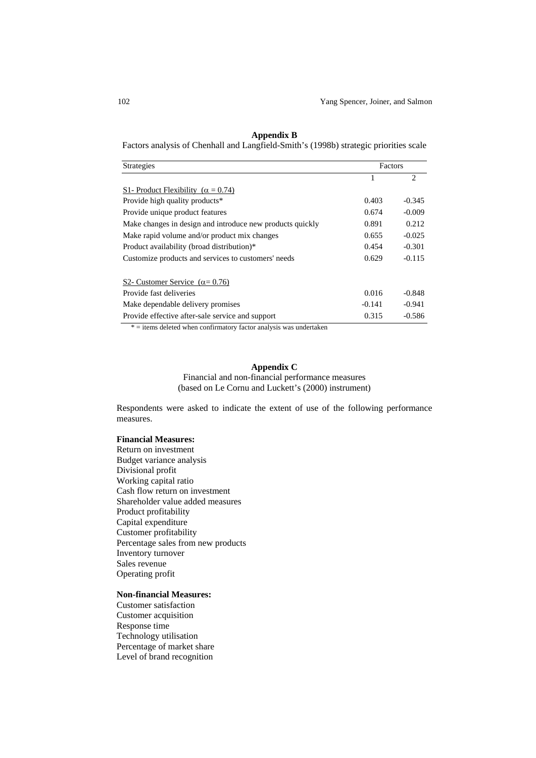| <b>Strategies</b>                                         | Factors  |                |
|-----------------------------------------------------------|----------|----------------|
|                                                           |          | $\mathfrak{D}$ |
| S1- Product Flexibility ( $\alpha = 0.74$ )               |          |                |
| Provide high quality products*                            | 0.403    | $-0.345$       |
| Provide unique product features                           | 0.674    | $-0.009$       |
| Make changes in design and introduce new products quickly | 0.891    | 0.212          |
| Make rapid volume and/or product mix changes              | 0.655    | $-0.025$       |
| Product availability (broad distribution)*                | 0.454    | $-0.301$       |
| Customize products and services to customers' needs       | 0.629    | $-0.115$       |
| S2- Customer Service $(\alpha = 0.76)$                    |          |                |
| Provide fast deliveries                                   | 0.016    | $-0.848$       |
| Make dependable delivery promises                         | $-0.141$ | $-0.941$       |
| Provide effective after-sale service and support          | 0.315    | $-0.586$       |

# **Appendix B**

Factors analysis of Chenhall and Langfield-Smith's (1998b) strategic priorities scale

 $*$  = items deleted when confirmatory factor analysis was undertaken

# **Appendix C**

Financial and non-financial performance measures (based on Le Cornu and Luckett's (2000) instrument)

Respondents were asked to indicate the extent of use of the following performance measures.

### **Financial Measures:**

Return on investment Budget variance analysis Divisional profit Working capital ratio Cash flow return on investment Shareholder value added measures Product profitability Capital expenditure Customer profitability Percentage sales from new products Inventory turnover Sales revenue Operating profit

# **Non-financial Measures:**

Customer satisfaction Customer acquisition Response time Technology utilisation Percentage of market share Level of brand recognition